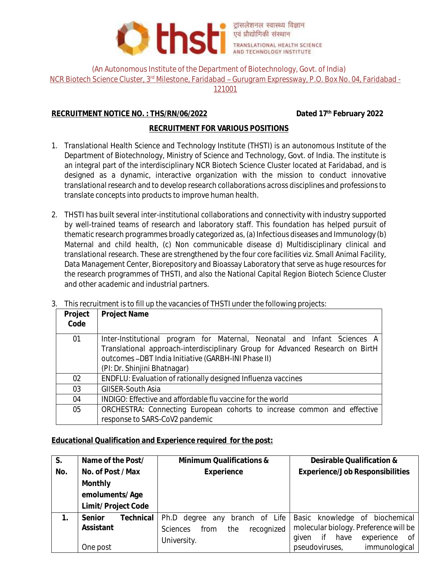

(An Autonomous Institute of the Department of Biotechnology, Govt. of India)

NCR Biotech Science Cluster, 3<sup>rd</sup> Milestone, Faridabad - Gurugram Expressway, P.O. Box No. 04, Faridabad -

121001

### **RECRUITMENT NOTICE NO. : THS/RN/06/2022 Dated 17th February 2022**

# **RECRUITMENT FOR VARIOUS POSITIONS**

- 1. Translational Health Science and Technology Institute (THSTI) is an autonomous Institute of the Department of Biotechnology, Ministry of Science and Technology, Govt. of India. The institute is an integral part of the interdisciplinary NCR Biotech Science Cluster located at Faridabad, and is designed as a dynamic, interactive organization with the mission to conduct innovative translational research and to develop research collaborations across disciplines and professions to translate concepts into products to improve human health.
- 2. THSTI has built several inter-institutional collaborations and connectivity with industry supported by well-trained teams of research and laboratory staff. This foundation has helped pursuit of thematic research programmes broadly categorized as, (a) Infectious diseases and Immunology (b) Maternal and child health, (c) Non communicable disease d) Multidisciplinary clinical and translational research. These are strengthened by the four core facilities viz. Small Animal Facility, Data Management Center, Biorepository and Bioassay Laboratory that serve as huge resources for the research programmes of THSTI, and also the National Capital Region Biotech Science Cluster and other academic and industrial partners.

| .       | THIS FOURILLELLED TO THE UP THE VACALICIES OF THIS FENDITOIRE THE FOILOWING DEDECTS. |  |  |
|---------|--------------------------------------------------------------------------------------|--|--|
| Project | <b>Project Name</b>                                                                  |  |  |
| Code    |                                                                                      |  |  |
| 01      | Inter-Institutional program for Maternal, Neonatal and Infant Sciences A             |  |  |
|         | Translational approach-interdisciplinary Group for Advanced Research on BirtH        |  |  |
|         | outcomes-DBT India Initiative (GARBH-INI Phase II)                                   |  |  |
|         | (PI: Dr. Shinjini Bhatnagar)                                                         |  |  |
| 02      | ENDFLU: Evaluation of rationally designed Influenza vaccines                         |  |  |
| 03      | GIISER-South Asia                                                                    |  |  |
| 04      | INDIGO: Effective and affordable flu vaccine for the world                           |  |  |
| 05      | ORCHESTRA: Connecting European cohorts to increase common and effective              |  |  |
|         | response to SARS-CoV2 pandemic                                                       |  |  |

3. This recruitment is to fill up the vacancies of THSTI under the following projects:

#### **Educational Qualification and Experience required for the post:**

| S.  | Name of the Post/                            | Minimum Qualifications &                                                                      | Desirable Qualification &                                                                                                                               |
|-----|----------------------------------------------|-----------------------------------------------------------------------------------------------|---------------------------------------------------------------------------------------------------------------------------------------------------------|
| No. | No. of Post / Max                            | Experience                                                                                    | Experience/Job Responsibilities                                                                                                                         |
|     | Monthly                                      |                                                                                               |                                                                                                                                                         |
|     | emoluments/Age                               |                                                                                               |                                                                                                                                                         |
|     | Limit/Project Code                           |                                                                                               |                                                                                                                                                         |
|     | Technical<br>Senior<br>Assistant<br>One post | Ph.D degree any branch of Life<br>recognized<br>the<br><b>Sciences</b><br>from<br>University. | Basic knowledge of biochemical<br>molecular biology. Preference will be<br>have<br>experience<br>if<br>- of<br>given<br>immunological<br>pseudoviruses, |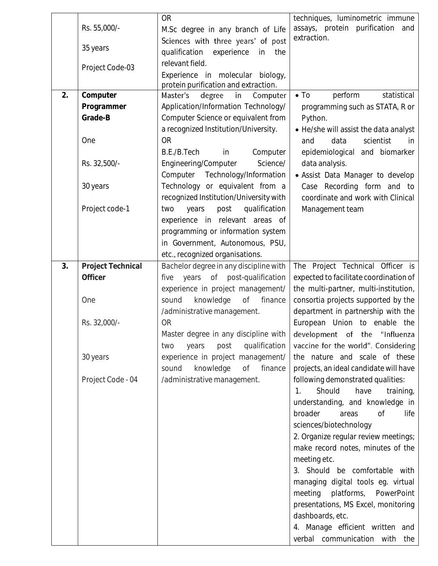|    |                   | <b>OR</b>                                 | techniques, luminometric immune               |
|----|-------------------|-------------------------------------------|-----------------------------------------------|
|    | Rs. 55,000/-      | M.Sc degree in any branch of Life         | assays, protein purification<br>and           |
|    |                   | Sciences with three years' of post        | extraction.                                   |
|    | 35 years          | qualification<br>experience<br>the<br>in  |                                               |
|    |                   |                                           |                                               |
|    | Project Code-03   | relevant field.                           |                                               |
|    |                   | Experience in molecular biology,          |                                               |
|    |                   | protein purification and extraction.      |                                               |
| 2. | Computer          | degree<br>in<br>Computer<br>Master's      | $\bullet$ To<br>perform<br>statistical        |
|    | Programmer        | Application/Information Technology/       | programming such as STATA, R or               |
|    | Grade-B           | Computer Science or equivalent from       | Python.                                       |
|    |                   | a recognized Institution/University.      | • He/she will assist the data analyst         |
|    | One               | <b>OR</b>                                 | scientist<br>data<br>and<br>in.               |
|    |                   | B.E./B.Tech<br>Computer<br>in             | epidemiological and biomarker                 |
|    | Rs. 32,500/-      | Science/<br>Engineering/Computer          | data analysis.                                |
|    |                   | Computer Technology/Information           | • Assist Data Manager to develop              |
|    |                   |                                           |                                               |
|    | 30 years          | Technology or equivalent from a           | Case Recording form and to                    |
|    |                   | recognized Institution/University with    | coordinate and work with Clinical             |
|    | Project code-1    | qualification<br>post<br>two<br>years     | Management team                               |
|    |                   | experience in relevant areas of           |                                               |
|    |                   | programming or information system         |                                               |
|    |                   | in Government, Autonomous, PSU,           |                                               |
|    |                   | etc., recognized organisations.           |                                               |
| 3. | Project Technical | Bachelor degree in any discipline with    | The Project Technical Officer is              |
|    | Officer           | post-qualification<br>years<br>Оf<br>five | expected to facilitate coordination of        |
|    |                   | experience in project management/         | the multi-partner, multi-institution,         |
|    | One               | knowledge<br>Оf<br>finance<br>sound       | consortia projects supported by the           |
|    |                   |                                           |                                               |
|    |                   | /administrative management.               | department in partnership with the            |
|    | Rs. 32,000/-      | <b>OR</b>                                 | European Union to enable the                  |
|    |                   | Master degree in any discipline with      | development of the "Influenza                 |
|    |                   | qualification<br>post<br>two<br>years     | vaccine for the world". Considering           |
|    | 30 years          | experience in project management/         | the nature and scale of these                 |
|    |                   | knowledge<br>Оf<br>finance<br>sound       | projects, an ideal candidate will have        |
|    | Project Code - 04 | /administrative management.               | following demonstrated qualities:             |
|    |                   |                                           | Should<br>have<br>training,<br>$\mathbb{1}$ . |
|    |                   |                                           | understanding, and knowledge in               |
|    |                   |                                           | broader<br>areas<br>0f<br>life                |
|    |                   |                                           | sciences/biotechnology                        |
|    |                   |                                           |                                               |
|    |                   |                                           | 2. Organize regular review meetings;          |
|    |                   |                                           | make record notes, minutes of the             |
|    |                   |                                           | meeting etc.                                  |
|    |                   |                                           | 3. Should be comfortable with                 |
|    |                   |                                           | managing digital tools eg. virtual            |
|    |                   |                                           | meeting<br>platforms,<br>PowerPoint           |
|    |                   |                                           | presentations, MS Excel, monitoring           |
|    |                   |                                           | dashboards, etc.                              |
|    |                   |                                           | 4. Manage efficient written and               |
|    |                   |                                           | verbal communication with                     |
|    |                   |                                           | the                                           |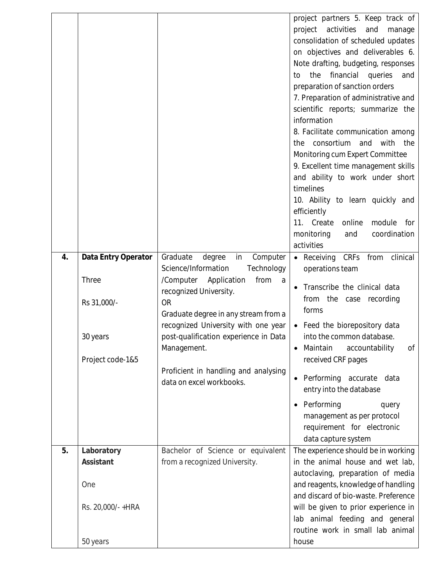| 4. | Data Entry Operator<br>Three<br>Rs 31,000/-                    | Graduate<br>degree<br>in<br>Computer<br>Science/Information<br>Technology<br>/Computer Application<br>from<br>a<br>recognized University.<br><b>OR</b><br>Graduate degree in any stream from a<br>recognized University with one year | timelines<br>10. Ability to learn quickly and<br>efficiently<br>11. Create<br>online<br>module<br>for<br>coordination<br>monitoring<br>and<br>activities<br>CRFs<br>from<br>clinical<br>$\bullet$ Receiving<br>operations team<br>Transcribe the clinical data<br>from the case<br>recording<br>forms<br>Feed the biorepository data |
|----|----------------------------------------------------------------|---------------------------------------------------------------------------------------------------------------------------------------------------------------------------------------------------------------------------------------|--------------------------------------------------------------------------------------------------------------------------------------------------------------------------------------------------------------------------------------------------------------------------------------------------------------------------------------|
|    | 30 years<br>Project code-1&5                                   | post-qualification experience in Data<br>Management.<br>Proficient in handling and analysing<br>data on excel workbooks.                                                                                                              | into the common database.<br>Maintain<br>accountability<br>Оf<br>received CRF pages<br>Performing accurate<br>data<br>entry into the database<br>Performing<br>query<br>management as per protocol<br>requirement for electronic<br>data capture system                                                                              |
| 5. | Laboratory<br>Assistant<br>One<br>Rs. 20,000/-+HRA<br>50 years | Bachelor of Science or equivalent<br>from a recognized University.                                                                                                                                                                    | The experience should be in working<br>in the animal house and wet lab,<br>autoclaving, preparation of media<br>and reagents, knowledge of handling<br>and discard of bio-waste. Preference<br>will be given to prior experience in<br>lab animal feeding and general<br>routine work in small lab animal<br>house                   |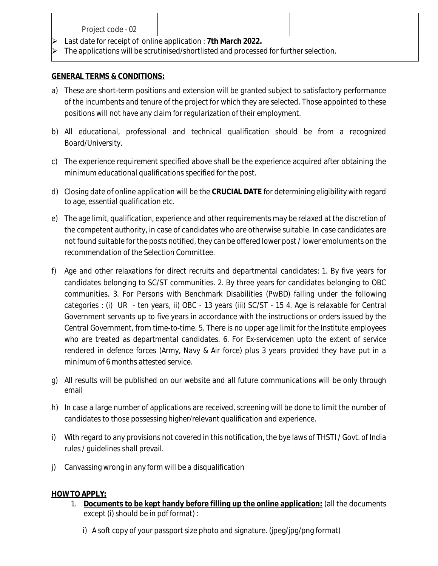|                                                                                       | Project code - 02 |  |  |
|---------------------------------------------------------------------------------------|-------------------|--|--|
| Last date for receipt of online application: 7th March 2022.                          |                   |  |  |
| The applications will be scrutinised/shortlisted and processed for further selection. |                   |  |  |

### **GENERAL TERMS & CONDITIONS:**

- a) These are short-term positions and extension will be granted subject to satisfactory performance of the incumbents and tenure of the project for which they are selected. Those appointed to these positions will not have any claim for regularization of their employment.
- b) All educational, professional and technical qualification should be from a recognized Board/University.
- c) The experience requirement specified above shall be the experience acquired after obtaining the minimum educational qualifications specified for the post.
- d) Closing date of online application will be the **CRUCIAL DATE** for determining eligibility with regard to age, essential qualification etc.
- e) The age limit, qualification, experience and other requirements may be relaxed at the discretion of the competent authority, in case of candidates who are otherwise suitable. In case candidates are not found suitable for the posts notified, they can be offered lower post / lower emoluments on the recommendation of the Selection Committee.
- f) Age and other relaxations for direct recruits and departmental candidates: 1. By five years for candidates belonging to SC/ST communities. 2. By three years for candidates belonging to OBC communities. 3. For Persons with Benchmark Disabilities (PwBD) falling under the following categories : (i) UR - ten years, ii) OBC - 13 years (iii) SC/ST - 15 4. Age is relaxable for Central Government servants up to five years in accordance with the instructions or orders issued by the Central Government, from time-to-time. 5. There is no upper age limit for the Institute employees who are treated as departmental candidates. 6. For Ex-servicemen upto the extent of service rendered in defence forces (Army, Navy & Air force) plus 3 years provided they have put in a minimum of 6 months attested service.
- g) All results will be published on our website and all future communications will be only through email
- h) In case a large number of applications are received, screening will be done to limit the number of candidates to those possessing higher/relevant qualification and experience.
- i) With regard to any provisions not covered in this notification, the bye laws of THSTI / Govt. of India rules / guidelines shall prevail.
- j) Canvassing wrong in any form will be a disqualification

### **HOW TO APPLY:**

- 1. **Documents to be kept handy before filling up the online application:** (all the documents except (i) should be in pdf format) :
	- i) A soft copy of your passport size photo and signature. (jpeg/jpg/png format)